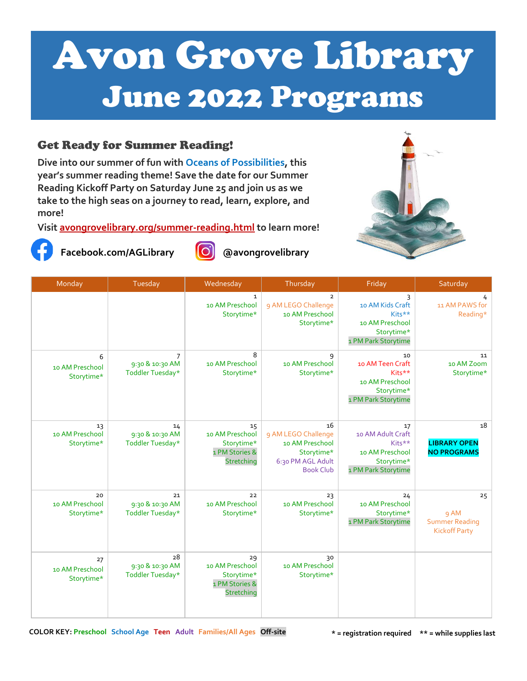# Avon Grove Library June 2022 Programs

#### Get Ready for Summer Reading!

**Dive into our summer of fun with Oceans of Possibilities, this year's summer reading theme! Save the date for our Summer Reading Kickoff Party on Saturday June 25 and join us as we take to the high seas on a journey to read, learn, explore, and more!**

**Visit [avongrovelibrary.org/summer-reading.html](https://www.avongrovelibrary.org/summer-reading.html) to learn more!**



**Facebook.com/AGLibrary @avongrovelibrary**





| Monday                              | Tuesday                                               | Wednesday                                                           | Thursday                                                                                            | Friday                                                                                    | Saturday                                                    |
|-------------------------------------|-------------------------------------------------------|---------------------------------------------------------------------|-----------------------------------------------------------------------------------------------------|-------------------------------------------------------------------------------------------|-------------------------------------------------------------|
|                                     |                                                       | $\mathbf{1}$<br>10 AM Preschool<br>Storytime*                       | $\overline{2}$<br>9 AM LEGO Challenge<br>10 AM Preschool<br>Storytime*                              | 3<br>10 AM Kids Craft<br>Kits**<br>10 AM Preschool<br>Storytime*<br>1 PM Park Storytime   | 4<br>11 AM PAWS for<br>Reading*                             |
| 6<br>10 AM Preschool<br>Storytime*  | $\overline{7}$<br>9:30 & 10:30 AM<br>Toddler Tuesday* | 8<br>10 AM Preschool<br>Storytime*                                  | 9<br>10 AM Preschool<br>Storytime*                                                                  | 10<br>10 AM Teen Craft<br>Kits**<br>10 AM Preschool<br>Storytime*<br>1 PM Park Storytime  | 11<br>10 AM Zoom<br>Storytime*                              |
| 13<br>10 AM Preschool<br>Storytime* | 14<br>9:30 & 10:30 AM<br>Toddler Tuesday*             | 15<br>10 AM Preschool<br>Storytime*<br>1 PM Stories &<br>Stretching | 16<br>9 AM LEGO Challenge<br>10 AM Preschool<br>Storytime*<br>6:30 PM AGL Adult<br><b>Book Club</b> | 17<br>10 AM Adult Craft<br>Kits**<br>10 AM Preschool<br>Storytime*<br>1 PM Park Storytime | 18<br><b>LIBRARY OPEN</b><br><b>NO PROGRAMS</b>             |
| 20<br>10 AM Preschool<br>Storytime* | 21<br>9:30 & 10:30 AM<br>Toddler Tuesday*             | 22<br>10 AM Preschool<br>Storytime*                                 | 23<br>10 AM Preschool<br>Storytime*                                                                 | 24<br>10 AM Preschool<br>Storytime*<br>1 PM Park Storytime                                | 25<br>9 AM<br><b>Summer Reading</b><br><b>Kickoff Party</b> |
| 27<br>10 AM Preschool<br>Storytime* | 28<br>9:30 & 10:30 AM<br>Toddler Tuesday*             | 29<br>10 AM Preschool<br>Storytime*<br>1 PM Stories &<br>Stretching | 30<br>10 AM Preschool<br>Storytime*                                                                 |                                                                                           |                                                             |